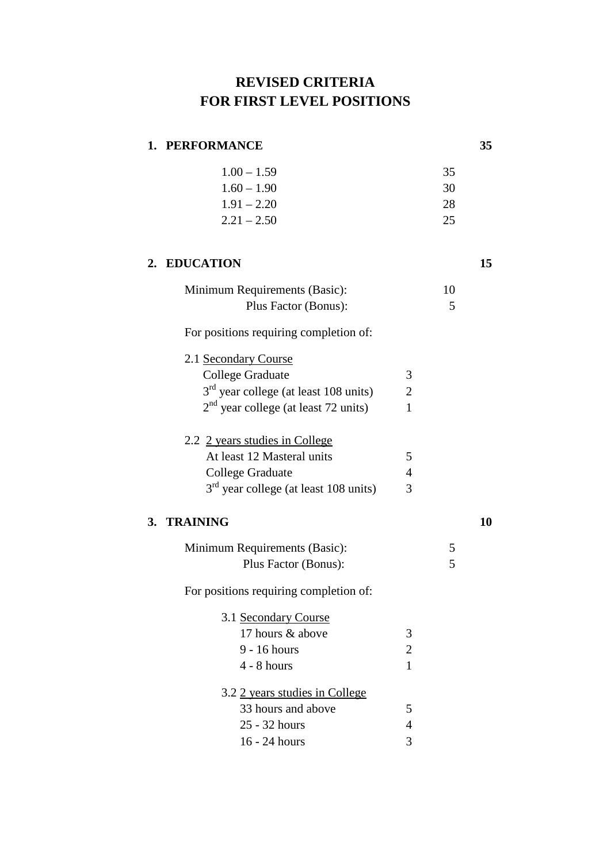# **REVISED CRITERIA FOR FIRST LEVEL POSITIONS**

### **1. PERFORMANCE 35**

| $1.00 - 1.59$ | 35 |
|---------------|----|
| $1.60 - 1.90$ | 30 |
| $1.91 - 2.20$ | 28 |
| $2.21 - 2.50$ | 25 |

#### **2. EDUCATION 15**

| Minimum Requirements (Basic):           |                | 10 |    |
|-----------------------------------------|----------------|----|----|
| Plus Factor (Bonus):                    |                | 5  |    |
| For positions requiring completion of:  |                |    |    |
| 2.1 Secondary Course                    |                |    |    |
| <b>College Graduate</b>                 | 3              |    |    |
| $3rd$ year college (at least 108 units) | $\mathbf{2}$   |    |    |
| $2nd$ year college (at least 72 units)  | $\mathbf{1}$   |    |    |
| 2.2 2 years studies in College          |                |    |    |
| At least 12 Masteral units              | 5              |    |    |
| <b>College Graduate</b>                 | $\overline{4}$ |    |    |
| $3rd$ year college (at least 108 units) | 3              |    |    |
| 3. TRAINING                             |                |    | 10 |
| Minimum Requirements (Basic):           |                | 5  |    |
| Plus Factor (Bonus):                    |                | 5  |    |
| For positions requiring completion of:  |                |    |    |
| 3.1 Secondary Course                    |                |    |    |
| 17 hours & above                        | 3              |    |    |
| 9 - 16 hours                            | $\overline{2}$ |    |    |
| $4 - 8$ hours                           | $\mathbf{1}$   |    |    |
| 3.2 2 years studies in College          |                |    |    |
| 33 hours and above                      | 5              |    |    |
| 25 - 32 hours                           | $\overline{4}$ |    |    |
| 16 - 24 hours                           | 3              |    |    |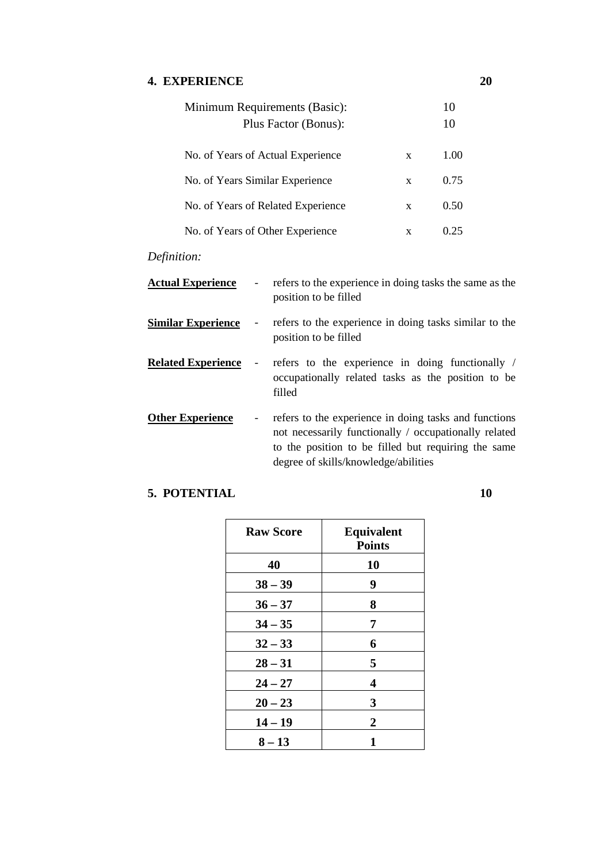### **4. EXPERIENCE 20**

| Minimum Requirements (Basic):<br>Plus Factor (Bonus): |   | 10<br>10 |
|-------------------------------------------------------|---|----------|
| No. of Years of Actual Experience                     | X | 1.00     |
| No. of Years Similar Experience                       | X | 0.75     |
| No. of Years of Related Experience                    | X | 0.50     |
| No. of Years of Other Experience                      | X | (125)    |

# *Definition:*

| <b>Actual Experience</b>  |                              | refers to the experience in doing tasks the same as the<br>position to be filled                                                                                                                              |
|---------------------------|------------------------------|---------------------------------------------------------------------------------------------------------------------------------------------------------------------------------------------------------------|
| <b>Similar Experience</b> | $\qquad \qquad \blacksquare$ | refers to the experience in doing tasks similar to the<br>position to be filled                                                                                                                               |
| <b>Related Experience</b> | $\overline{\phantom{a}}$     | refers to the experience in doing functionally /<br>occupationally related tasks as the position to be<br>filled                                                                                              |
| <b>Other Experience</b>   |                              | refers to the experience in doing tasks and functions<br>not necessarily functionally / occupationally related<br>to the position to be filled but requiring the same<br>degree of skills/knowledge/abilities |

#### **5. POTENTIAL 10**

| <b>Raw Score</b> | <b>Equivalent</b><br><b>Points</b> |
|------------------|------------------------------------|
| 40               | 10                                 |
| $38 - 39$        | 9                                  |
| $36 - 37$        | 8                                  |
| $34 - 35$        | 7                                  |
| $32 - 33$        | 6                                  |
| $28 - 31$        | 5                                  |
| $24 - 27$        | 4                                  |
| $20 - 23$        | 3                                  |
| $14 - 19$        | $\overline{2}$                     |
| $8 - 13$         | 1                                  |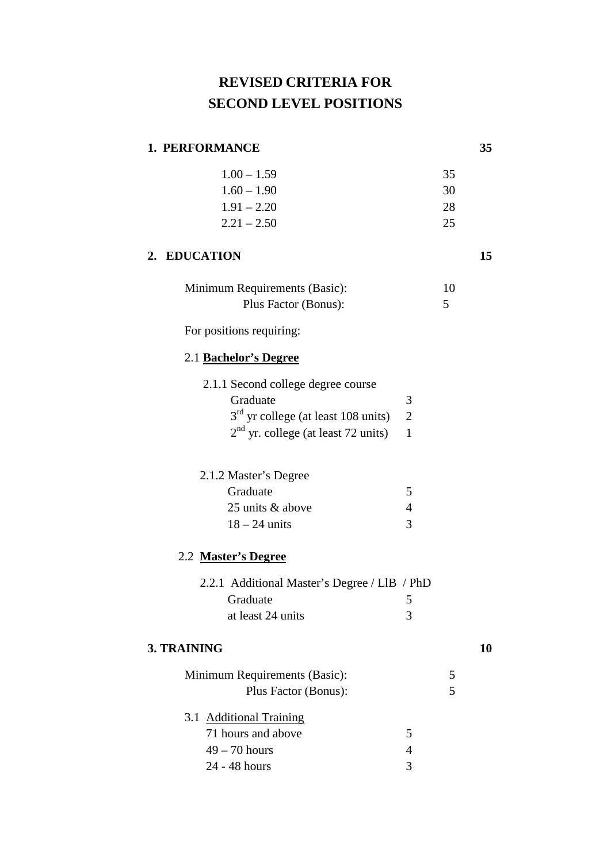# **REVISED CRITERIA FOR SECOND LEVEL POSITIONS**

#### **1. PERFORMANCE 35**

| $1.00 - 1.59$ | 35 |
|---------------|----|
| $1.60 - 1.90$ | 30 |
| $1.91 - 2.20$ | 28 |
| $2.21 - 2.50$ | 25 |

## **2. EDUCATION 15**

| Minimum Requirements (Basic): |  |
|-------------------------------|--|
| Plus Factor (Bonus):          |  |

For positions requiring:

### 2.1 **Bachelor's Degree**

| 2.1.1 Second college degree course      |                |
|-----------------------------------------|----------------|
| Graduate                                |                |
| $3rd$ yr college (at least 108 units) 2 |                |
| $2nd$ yr. college (at least 72 units)   | $\blacksquare$ |
|                                         |                |

| 2.1.2 Master's Degree |  |
|-----------------------|--|
| Graduate              |  |
| 25 units & above      |  |
| $18 - 24$ units       |  |

# 2.2 **Master's Degree**

|  | 2.2.1 Additional Master's Degree / LIB / PhD |  |
|--|----------------------------------------------|--|
|  | Graduate                                     |  |
|  | at least 24 units                            |  |

## **3. TRAINING 10**

| Minimum Requirements (Basic): |  |
|-------------------------------|--|
| Plus Factor (Bonus):          |  |